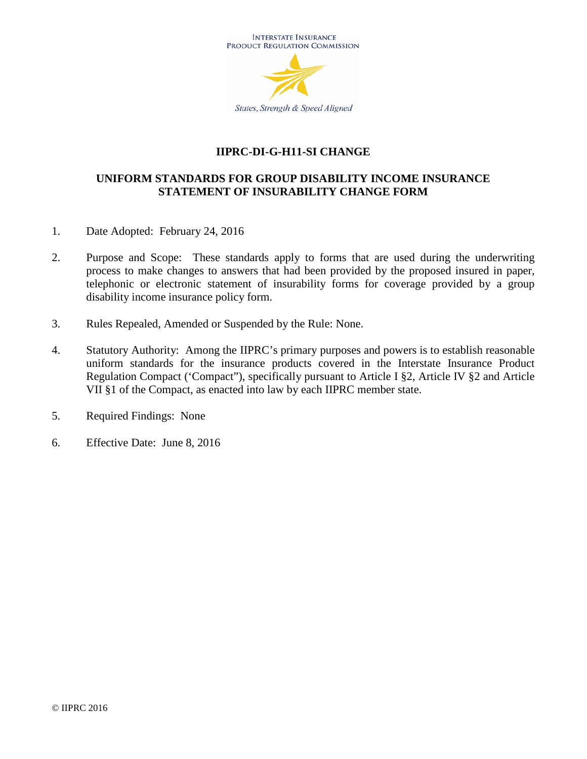

# **IIPRC-DI-G-H11-SI CHANGE**

# **UNIFORM STANDARDS FOR GROUP DISABILITY INCOME INSURANCE STATEMENT OF INSURABILITY CHANGE FORM**

- 1. Date Adopted: February 24, 2016
- 2. Purpose and Scope: These standards apply to forms that are used during the underwriting process to make changes to answers that had been provided by the proposed insured in paper, telephonic or electronic statement of insurability forms for coverage provided by a group disability income insurance policy form.
- 3. Rules Repealed, Amended or Suspended by the Rule: None.
- 4. Statutory Authority: Among the IIPRC's primary purposes and powers is to establish reasonable uniform standards for the insurance products covered in the Interstate Insurance Product Regulation Compact ('Compact"), specifically pursuant to Article I §2, Article IV §2 and Article VII §1 of the Compact, as enacted into law by each IIPRC member state.
- 5. Required Findings: None
- 6. Effective Date: June 8, 2016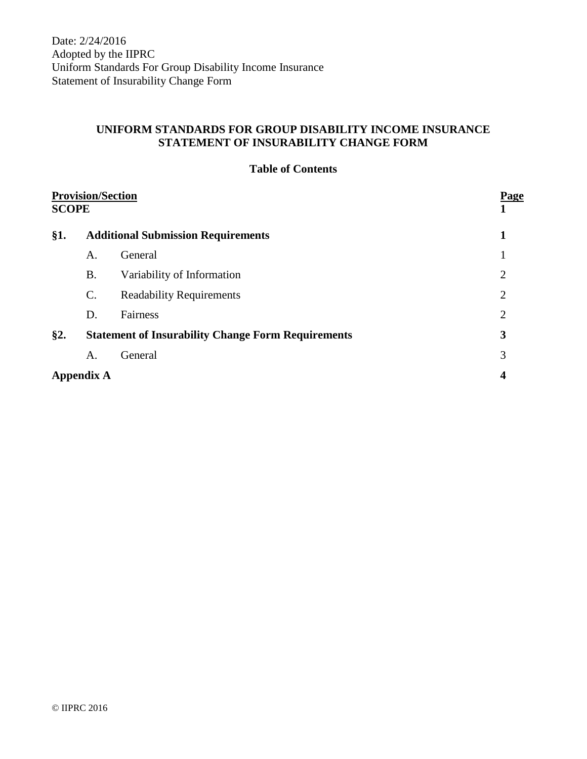Date: 2/24/2016 Adopted by the IIPRC Uniform Standards For Group Disability Income Insurance Statement of Insurability Change Form

# **UNIFORM STANDARDS FOR GROUP DISABILITY INCOME INSURANCE STATEMENT OF INSURABILITY CHANGE FORM**

|  | <b>Table of Contents</b> |
|--|--------------------------|
|--|--------------------------|

| <b>Provision/Section</b><br><b>SCOPE</b> |                                                           | <b>Page</b>                     |                |
|------------------------------------------|-----------------------------------------------------------|---------------------------------|----------------|
| §1.                                      | <b>Additional Submission Requirements</b>                 |                                 |                |
|                                          | A.                                                        | General                         |                |
|                                          | <b>B.</b>                                                 | Variability of Information      | $\overline{2}$ |
|                                          | $\mathcal{C}$ .                                           | <b>Readability Requirements</b> | $\overline{2}$ |
|                                          | D.                                                        | Fairness                        | $\overline{2}$ |
| §2.                                      | <b>Statement of Insurability Change Form Requirements</b> |                                 | 3              |
|                                          | A.                                                        | General                         | 3              |
|                                          | <b>Appendix A</b>                                         |                                 |                |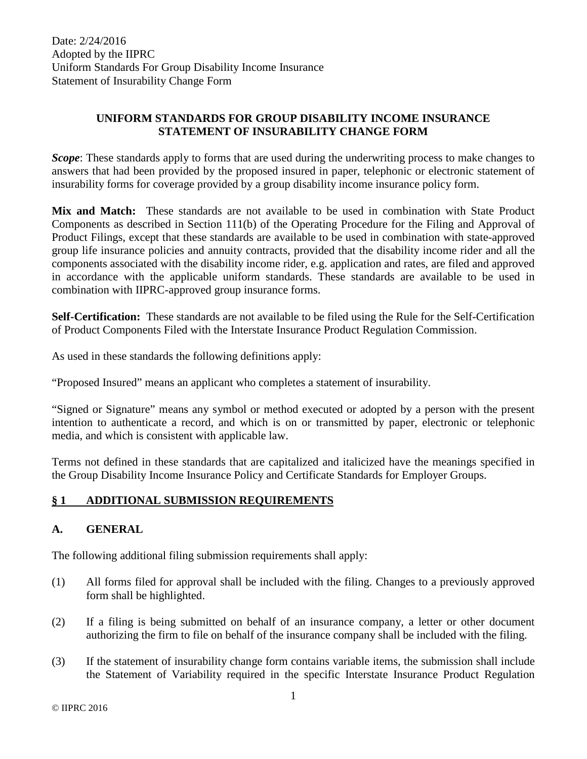# **UNIFORM STANDARDS FOR GROUP DISABILITY INCOME INSURANCE STATEMENT OF INSURABILITY CHANGE FORM**

*Scope*: These standards apply to forms that are used during the underwriting process to make changes to answers that had been provided by the proposed insured in paper, telephonic or electronic statement of insurability forms for coverage provided by a group disability income insurance policy form.

**Mix and Match:** These standards are not available to be used in combination with State Product Components as described in Section 111(b) of the Operating Procedure for the Filing and Approval of Product Filings, except that these standards are available to be used in combination with state-approved group life insurance policies and annuity contracts, provided that the disability income rider and all the components associated with the disability income rider, e.g. application and rates, are filed and approved in accordance with the applicable uniform standards. These standards are available to be used in combination with IIPRC-approved group insurance forms.

**Self-Certification:** These standards are not available to be filed using the Rule for the Self-Certification of Product Components Filed with the Interstate Insurance Product Regulation Commission.

As used in these standards the following definitions apply:

"Proposed Insured" means an applicant who completes a statement of insurability.

"Signed or Signature" means any symbol or method executed or adopted by a person with the present intention to authenticate a record, and which is on or transmitted by paper, electronic or telephonic media, and which is consistent with applicable law.

Terms not defined in these standards that are capitalized and italicized have the meanings specified in the Group Disability Income Insurance Policy and Certificate Standards for Employer Groups.

### **§ 1 ADDITIONAL SUBMISSION REQUIREMENTS**

### **A. GENERAL**

The following additional filing submission requirements shall apply:

- (1) All forms filed for approval shall be included with the filing. Changes to a previously approved form shall be highlighted.
- (2) If a filing is being submitted on behalf of an insurance company, a letter or other document authorizing the firm to file on behalf of the insurance company shall be included with the filing.
- (3) If the statement of insurability change form contains variable items, the submission shall include the Statement of Variability required in the specific Interstate Insurance Product Regulation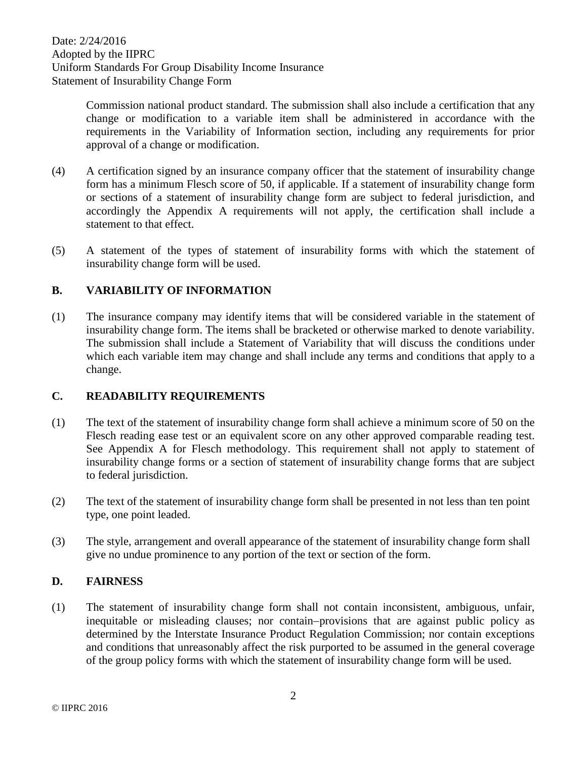Date: 2/24/2016 Adopted by the IIPRC Uniform Standards For Group Disability Income Insurance Statement of Insurability Change Form

> Commission national product standard. The submission shall also include a certification that any change or modification to a variable item shall be administered in accordance with the requirements in the Variability of Information section, including any requirements for prior approval of a change or modification.

- (4) A certification signed by an insurance company officer that the statement of insurability change form has a minimum Flesch score of 50, if applicable. If a statement of insurability change form or sections of a statement of insurability change form are subject to federal jurisdiction, and accordingly the Appendix A requirements will not apply, the certification shall include a statement to that effect.
- (5) A statement of the types of statement of insurability forms with which the statement of insurability change form will be used.

### **B. VARIABILITY OF INFORMATION**

(1) The insurance company may identify items that will be considered variable in the statement of insurability change form. The items shall be bracketed or otherwise marked to denote variability. The submission shall include a Statement of Variability that will discuss the conditions under which each variable item may change and shall include any terms and conditions that apply to a change.

#### **C. READABILITY REQUIREMENTS**

- (1) The text of the statement of insurability change form shall achieve a minimum score of 50 on the Flesch reading ease test or an equivalent score on any other approved comparable reading test. See Appendix A for Flesch methodology. This requirement shall not apply to statement of insurability change forms or a section of statement of insurability change forms that are subject to federal jurisdiction.
- (2) The text of the statement of insurability change form shall be presented in not less than ten point type, one point leaded.
- (3) The style, arrangement and overall appearance of the statement of insurability change form shall give no undue prominence to any portion of the text or section of the form.

#### **D. FAIRNESS**

(1) The statement of insurability change form shall not contain inconsistent, ambiguous, unfair, inequitable or misleading clauses; nor contain-provisions that are against public policy as determined by the Interstate Insurance Product Regulation Commission; nor contain exceptions and conditions that unreasonably affect the risk purported to be assumed in the general coverage of the group policy forms with which the statement of insurability change form will be used.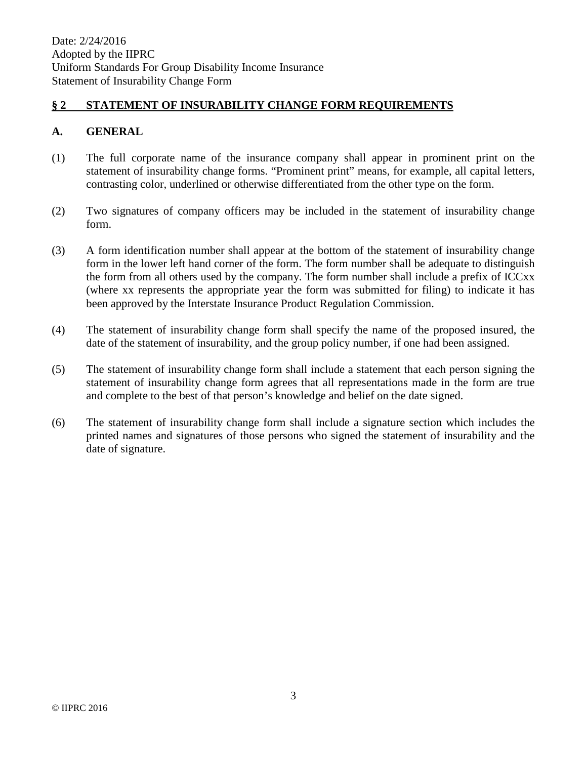#### **§ 2 STATEMENT OF INSURABILITY CHANGE FORM REQUIREMENTS**

#### **A. GENERAL**

- (1) The full corporate name of the insurance company shall appear in prominent print on the statement of insurability change forms. "Prominent print" means, for example, all capital letters, contrasting color, underlined or otherwise differentiated from the other type on the form.
- (2) Two signatures of company officers may be included in the statement of insurability change form.
- (3) A form identification number shall appear at the bottom of the statement of insurability change form in the lower left hand corner of the form. The form number shall be adequate to distinguish the form from all others used by the company. The form number shall include a prefix of ICCxx (where xx represents the appropriate year the form was submitted for filing) to indicate it has been approved by the Interstate Insurance Product Regulation Commission.
- (4) The statement of insurability change form shall specify the name of the proposed insured, the date of the statement of insurability, and the group policy number, if one had been assigned.
- (5) The statement of insurability change form shall include a statement that each person signing the statement of insurability change form agrees that all representations made in the form are true and complete to the best of that person's knowledge and belief on the date signed.
- (6) The statement of insurability change form shall include a signature section which includes the printed names and signatures of those persons who signed the statement of insurability and the date of signature.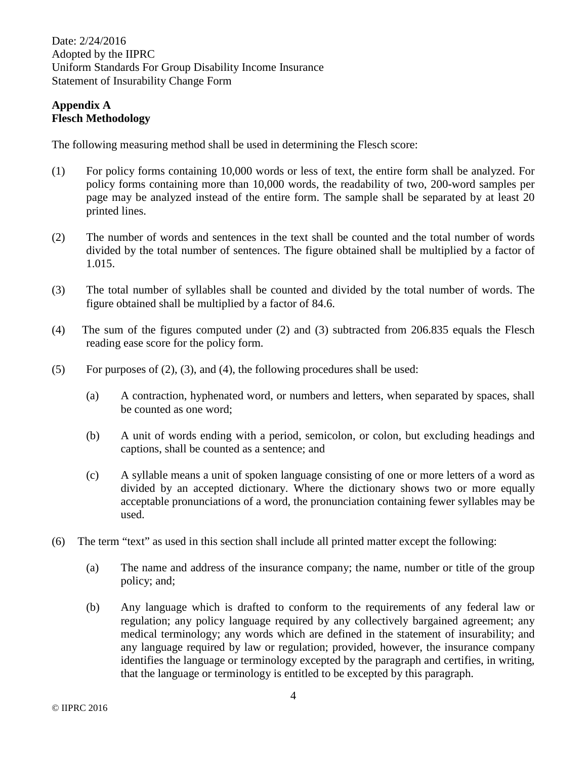Date: 2/24/2016 Adopted by the IIPRC Uniform Standards For Group Disability Income Insurance Statement of Insurability Change Form

#### **Appendix A Flesch Methodology**

The following measuring method shall be used in determining the Flesch score:

- (1) For policy forms containing 10,000 words or less of text, the entire form shall be analyzed. For policy forms containing more than 10,000 words, the readability of two, 200-word samples per page may be analyzed instead of the entire form. The sample shall be separated by at least 20 printed lines.
- (2) The number of words and sentences in the text shall be counted and the total number of words divided by the total number of sentences. The figure obtained shall be multiplied by a factor of 1.015.
- (3) The total number of syllables shall be counted and divided by the total number of words. The figure obtained shall be multiplied by a factor of 84.6.
- (4) The sum of the figures computed under (2) and (3) subtracted from 206.835 equals the Flesch reading ease score for the policy form.
- (5) For purposes of  $(2)$ ,  $(3)$ , and  $(4)$ , the following procedures shall be used:
	- (a) A contraction, hyphenated word, or numbers and letters, when separated by spaces, shall be counted as one word;
	- (b) A unit of words ending with a period, semicolon, or colon, but excluding headings and captions, shall be counted as a sentence; and
	- (c) A syllable means a unit of spoken language consisting of one or more letters of a word as divided by an accepted dictionary. Where the dictionary shows two or more equally acceptable pronunciations of a word, the pronunciation containing fewer syllables may be used.
- (6) The term "text" as used in this section shall include all printed matter except the following:
	- (a) The name and address of the insurance company; the name, number or title of the group policy; and;
	- (b) Any language which is drafted to conform to the requirements of any federal law or regulation; any policy language required by any collectively bargained agreement; any medical terminology; any words which are defined in the statement of insurability; and any language required by law or regulation; provided, however, the insurance company identifies the language or terminology excepted by the paragraph and certifies, in writing, that the language or terminology is entitled to be excepted by this paragraph.